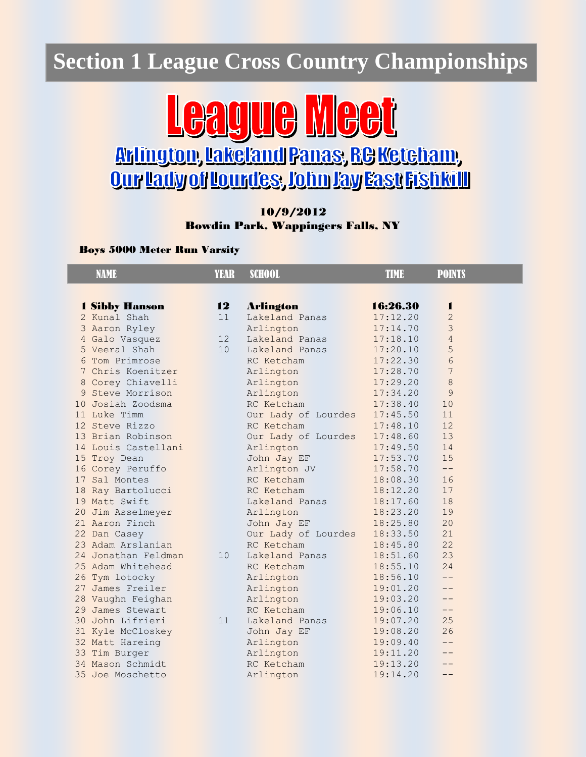### **Section 1 League Cross Country Championships**



# **Qur lady of Lourdes, John Jay Fast Fishkill**

#### 10/9/2012 Bowdin Park, Wappingers Falls, NY

Boys 5000 Meter Run Varsity

| <b>NAME</b>           | <b>YEAR</b> | <b>SCHOOL</b>       | <b>TIME</b> | <b>POINTS</b>  |
|-----------------------|-------------|---------------------|-------------|----------------|
|                       |             |                     |             |                |
| <b>1 Sibby Hanson</b> | 12          | <b>Arlington</b>    | 16:26.30    | 1              |
| 2 Kunal Shah          | 11          | Lakeland Panas      | 17:12.20    | $\overline{2}$ |
| 3 Aaron Ryley         |             | Arlington           | 17:14.70    | 3              |
| 4 Galo Vasquez        | 12          | Lakeland Panas      | 17:18.10    | $\overline{4}$ |
| 5 Veeral Shah         | 10          | Lakeland Panas      | 17:20.10    | 5              |
| 6 Tom Primrose        |             | RC Ketcham          | 17:22.30    | 6              |
| 7 Chris Koenitzer     |             | Arlington           | 17:28.70    | 7              |
| 8 Corey Chiavelli     |             | Arlington           | 17:29.20    | 8              |
| 9 Steve Morrison      |             | Arlington           | 17:34.20    | 9              |
| 10 Josiah Zoodsma     |             | RC Ketcham          | 17:38.40    | 10             |
| 11 Luke Timm          |             | Our Lady of Lourdes | 17:45.50    | 11             |
| 12 Steve Rizzo        |             | RC Ketcham          | 17:48.10    | 12             |
| 13 Brian Robinson     |             | Our Lady of Lourdes | 17:48.60    | 13             |
| 14 Louis Castellani   |             | Arlington           | 17:49.50    | 14             |
| 15 Troy Dean          |             | John Jay EF         | 17:53.70    | 15             |
| 16 Corey Peruffo      |             | Arlington JV        | 17:58.70    | $-$            |
| 17 Sal Montes         |             | RC Ketcham          | 18:08.30    | 16             |
| 18 Ray Bartolucci     |             | RC Ketcham          | 18:12.20    | 17             |
| 19 Matt Swift         |             | Lakeland Panas      | 18:17.60    | 18             |
| 20 Jim Asselmeyer     |             | Arlington           | 18:23.20    | 19             |
| 21 Aaron Finch        |             | John Jay EF         | 18:25.80    | 20             |
| 22 Dan Casey          |             | Our Lady of Lourdes | 18:33.50    | 21             |
| 23 Adam Arslanian     |             | RC Ketcham          | 18:45.80    | 22             |
| 24 Jonathan Feldman   | 10          | Lakeland Panas      | 18:51.60    | 23             |
| 25 Adam Whitehead     |             | RC Ketcham          | 18:55.10    | 24             |
| 26 Tym lotocky        |             | Arlington           | 18:56.10    | $- -$          |
| 27 James Freiler      |             | Arlington           | 19:01.20    | $-$            |
| 28 Vaughn Feighan     |             | Arlington           | 19:03.20    | $- -$          |
| 29 James Stewart      |             | RC Ketcham          | 19:06.10    | $- -$          |
| 30 John Lifrieri      | 11          | Lakeland Panas      | 19:07.20    | 25             |
| 31 Kyle McCloskey     |             | John Jay EF         | 19:08.20    | 26             |
| 32 Matt Hareing       |             | Arlington           | 19:09.40    | $- -$          |
| 33 Tim Burger         |             | Arlington           | 19:11.20    | $- -$          |
| 34 Mason Schmidt      |             | RC Ketcham          | 19:13.20    |                |
| 35 Joe Moschetto      |             | Arlington           | 19:14.20    | --             |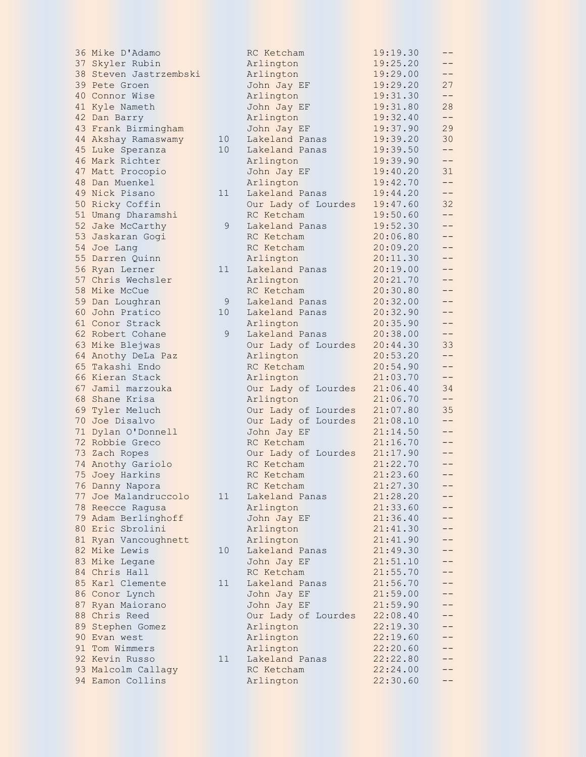36 Mike D'Adamo 37 Skyler Rubin 38 Steven Jastrzembski 39 Pete Groen 40 Connor Wise 41 Kyle Nameth 42 Dan Barry 43 Frank Birmingham 44 Akshay Ramaswamy 1 45 Luke Speranza 10 1 46 Mark Richter 47 Matt Procopio 48 Dan Muenkel 49 Nick Pisano 11 Lakeland Panas 19:44.20 -- 50 Ricky Coffin 51 Umang Dharamshi 52 Jake McCarthy 53 Jaskaran Gogi 54 Joe Lang 55 Darren Quinn 56 Ryan Lerner 57 Chris Wechsler 58 Mike McCue 59 Dan Loughran 60 John Pratico 10 Lakeland Panas 20:32.90 -- 61 Conor Strack 62 Robert Cohane 63 Mike Blejwas 64 Anothy DeLa Paz 65 Takashi Endo 66 Kieran Stack 67 Jamil marzouka 68 Shane Krisa 69 Tyler Meluch 70 Joe Disalvo 71 Dylan O'Donnell 72 Robbie Greco 73 Zach Ropes 74 Anothy Gariolo 75 Joey Harkins 76 Danny Napora 77 Joe Malandruccolo 78 Reecce Ragusa 79 Adam Berlinghoff 80 Eric Sbrolini 81 Ryan Vancoughnett 82 Mike Lewis 10 Lakeland Panas 21:49.30 -- 83 Mike Legane 84 Chris Hall 85 Karl Clemente 11 86 Conor Lynch 87 Ryan Maiorano 88 Chris Reed 89 Stephen Gomez 90 Evan west 91 Tom Wimmers 92 Kevin Russo 93 Malcolm Callagy 94 Eamon Collins

|                | RC Ketcham          | 19:19.30 |       |
|----------------|---------------------|----------|-------|
|                | Arlington           | 19:25.20 |       |
|                | Arlington           | 19:29.00 | $- -$ |
|                | John Jay EF         | 19:29.20 | 27    |
|                | Arlington           | 19:31.30 | $- -$ |
|                | John Jay EF         | 19:31.80 | 28    |
|                |                     |          |       |
|                | Arlington           | 19:32.40 | $--$  |
|                | John Jay EF         | 19:37.90 | 29    |
| . 0            | Lakeland Panas      | 19:39.20 | 30    |
| . 0            | Lakeland Panas      | 19:39.50 | --    |
|                | Arlington           | 19:39.90 | $- -$ |
|                |                     |          |       |
|                | John Jay EF         | 19:40.20 | 31    |
|                | Arlington           | 19:42.70 | $- -$ |
| .1             | Lakeland Panas      | 19:44.20 | $- -$ |
|                | Our Lady of Lourdes | 19:47.60 | 32    |
|                | RC Ketcham          | 19:50.60 | $- -$ |
| 9              | Lakeland Panas      | 19:52.30 | $- -$ |
|                |                     |          | $-$   |
|                | RC Ketcham          | 20:06.80 |       |
|                | RC Ketcham          | 20:09.20 | $-$   |
|                | Arlington           | 20:11.30 | $-$   |
| $\cdot$ 1      | Lakeland Panas      | 20:19.00 | $ -$  |
|                | Arlington           | 20:21.70 | $- -$ |
|                | RC Ketcham          | 20:30.80 | $- -$ |
|                |                     | 20:32.00 |       |
| 9              | Lakeland Panas      |          | $- -$ |
| $\overline{0}$ | Lakeland Panas      | 20:32.90 | $-$   |
|                | Arlington           | 20:35.90 | $-$   |
| 9              | Lakeland Panas      | 20:38.00 | $--$  |
|                | Our Lady of Lourdes | 20:44.30 | 33    |
|                | Arlington           | 20:53.20 | $- -$ |
|                | RC Ketcham          | 20:54.90 | $- -$ |
|                |                     | 21:03.70 | $--$  |
|                | Arlington           |          |       |
|                | Our Lady of Lourdes | 21:06.40 | 34    |
|                | Arlington           | 21:06.70 | $-$   |
|                | Our Lady of Lourdes | 21:07.80 | 35    |
|                | Our Lady of Lourdes | 21:08.10 | $- -$ |
|                | John Jay EF         | 21:14.50 | $-$   |
|                | RC Ketcham          | 21:16.70 | $ -$  |
|                | Our Lady of Lourdes | 21:17.90 | $-$   |
|                |                     |          |       |
|                | RC Ketcham          | 21:22.70 | $ -$  |
|                | RC Ketcham          | 21:23.60 |       |
|                | RC Ketcham          | 21:27.30 |       |
| $\cdot$ 1      | Lakeland Panas      | 21:28.20 |       |
|                | Arlington           | 21:33.60 | $-$   |
|                | John Jay EF         | 21:36.40 |       |
|                |                     |          |       |
|                | Arlington           | 21:41.30 |       |
|                | Arlington           | 21:41.90 |       |
| . 0            | Lakeland Panas      | 21:49.30 |       |
|                | John Jay EF         | 21:51.10 |       |
|                | RC Ketcham          | 21:55.70 | $-$   |
| .1             | Lakeland Panas      | 21:56.70 | --    |
|                | John Jay EF         | 21:59.00 | --    |
|                |                     |          |       |
|                | John Jay EF         | 21:59.90 | $- -$ |
|                | Our Lady of Lourdes | 22:08.40 |       |
|                | Arlington           | 22:19.30 | $- -$ |
|                | Arlington           | 22:19.60 |       |
|                | Arlington           | 22:20.60 |       |
| .1             | Lakeland Panas      | 22:22.80 |       |
|                | RC Ketcham          | 22:24.00 | $- -$ |
|                |                     |          | $- -$ |
|                | Arlington           | 22:30.60 |       |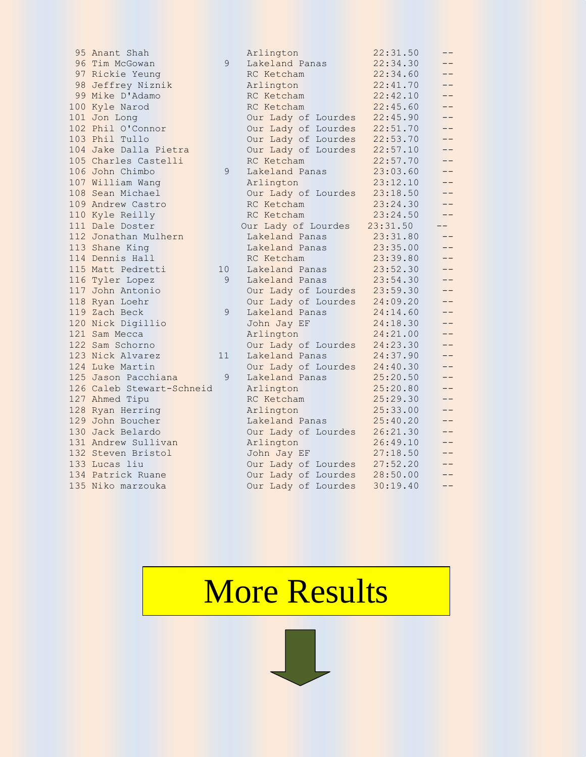95 Anant Shah 96 Tim McGowan 9 97 Rickie Yeung 98 Jeffrey Niznik 99 Mike D'Adamo 100 Kyle Narod 101 Jon Long 102 Phil O'Connor 103 Phil Tullo 104 Jake Dalla Pietra 105 Charles Castelli 106 John Chimbo 9 107 William Wang 108 Sean Michael 109 Andrew Castro 110 Kyle Reilly 111 Dale Doster 112 Jonathan Mulhern 113 Shane King 114 Dennis Hall 115 Matt Pedretti 10 116 Tyler Lopez 9 117 John Antonio 118 Ryan Loehr 119 Zach Beck 9 120 Nick Digillio 121 Sam Mecca 122 Sam Schorno 123 Nick Alvarez 11 124 Luke Martin 125 Jason Pacchiana 9 126 Caleb Stewart-Schneid 127 Ahmed Tipu 128 Ryan Herring 129 John Boucher 130 Jack Belardo 131 Andrew Sullivan 132 Steven Bristol 133 Lucas liu 134 Patrick Ruane 135 Niko marzouka **Our Lady of Lourdes 30:19.40** 

| Arlington                                                               | 22:31.50             | --   |
|-------------------------------------------------------------------------|----------------------|------|
| Lakeland Panas                                                          | 22:34.30             |      |
| RC Ketcham                                                              | 22:34.60             | --   |
| Arlington                                                               | 22:41.70             | --   |
| RC Ketcham                                                              | 22:42.10             | --   |
| RC Ketcham                                                              | 22:45.60             | --   |
| Our Lady of Lourdes                                                     | 22:45.90             | $-$  |
| Our Lady of Lourdes                                                     | 22:51.70             | --   |
| Our Lady of Lourdes                                                     | 22:53.70             | --   |
| Our Lady of Lourdes                                                     | 22:57.10             | --   |
| RC Ketcham                                                              | 22:57.70             | --   |
| Lakeland Panas                                                          | 23:03.60             | $ -$ |
| Arlington                                                               | 23:12.10             |      |
| Our Lady of Lourdes                                                     | 23:18.50             |      |
| RC Ketcham                                                              | 23:24.30             | --   |
| RC Ketcham                                                              | 23:24.50             | --   |
| Our Lady of Lourdes                                                     | 23:31.50             | $-$  |
| Lakeland Panas                                                          | 23:31.80             | --   |
| Lakeland Panas                                                          | 23:35.00             | --   |
| RC Ketcham                                                              | 23:39.80             | --   |
| Lakeland Panas                                                          | 23:52.30             | --   |
| Lakeland Panas                                                          | 23:54.30             | --   |
| Our Lady of Lourdes                                                     | 23:59.30             | --   |
| Our Lady of Lourdes                                                     | 24:09.20             | --   |
| Lakeland Panas                                                          | 24:14.60             | --   |
| John Jay EF                                                             | 24:18.30             | --   |
| Arlington                                                               | 24:21.00             | - -  |
| Our Lady of Lourdes                                                     | 24:23.30             | --   |
| Lakeland Panas                                                          | 24:37.90             | --   |
| Our Lady of Lourdes                                                     | 24:40.30             | --   |
| Lakeland Panas                                                          | 25:20.50             | --   |
| Arlington                                                               | 25:20.80             | --   |
| RC Ketcham                                                              | 25:29.30             | --   |
| Arlington                                                               | 25:33.00             | $-$  |
| Lakeland Panas                                                          | 25:40.20             | --   |
| Our Lady of Lourdes                                                     | 26:21.30             | --   |
| Arlington                                                               | 26:49.10             | --   |
| John Jay EF                                                             | 27:18.50             | --   |
| Our Lady of Lourdes                                                     | 27:52.20             |      |
| Our Lady of Lourdes<br>$\sim$ $\sim$ $\sim$ $\sim$ $\sim$ $\sim$ $\sim$ | 28:50.00<br>20.10.10 | --   |
| $-1$                                                                    |                      |      |

## More Results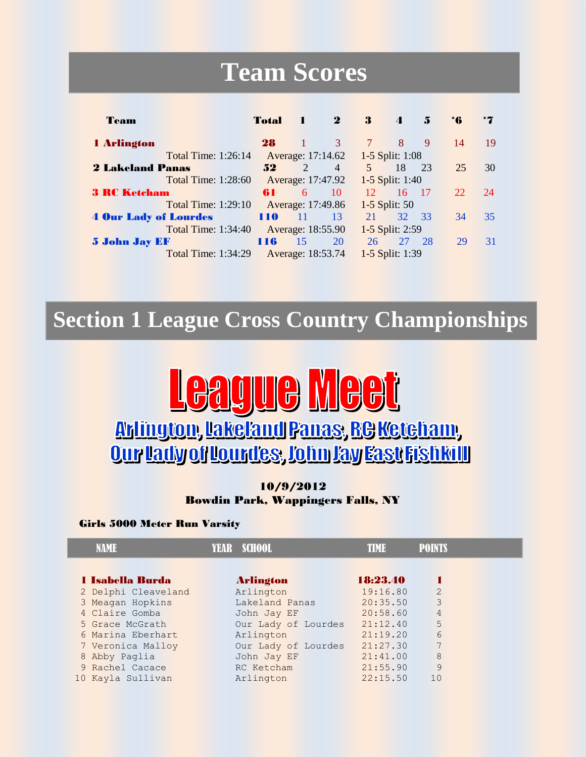### **Team Scores**

| Team                         | <b>Total</b> |                       | $\mathbf 2$       | 3           | $\boldsymbol{\Lambda}$ | 5    | *6 | *7 |
|------------------------------|--------------|-----------------------|-------------------|-------------|------------------------|------|----|----|
| 1 Arlington                  | 28           |                       | 3                 | $\tau$      | 8                      | 9    | 14 | 19 |
| <b>Total Time: 1:26:14</b>   |              |                       | Average: 17:14.62 |             | 1-5 Split: 1:08        |      |    |    |
| <b>2 Lakeland Panas</b>      | 52           | $\mathcal{D}_{\cdot}$ | $\overline{4}$    | $5^{\circ}$ | 18                     | 23   | 25 | 30 |
| <b>Total Time: 1:28:60</b>   |              |                       | Average: 17:47.92 |             | 1-5 Split: 1:40        |      |    |    |
| <b>3 RC Ketcham</b>          | 61           | 6                     | 10                | 12          | 16                     | -17  | 22 | 24 |
| <b>Total Time: 1:29:10</b>   |              |                       | Average: 17:49.86 |             | 1-5 Split: 50          |      |    |    |
| <b>4 Our Lady of Lourdes</b> | 110          | -11                   | 13                | 21          | 32 <sup>2</sup>        | - 33 | 34 | 35 |
| <b>Total Time: 1:34:40</b>   |              |                       | Average: 18:55.90 |             | 1-5 Split: 2:59        |      |    |    |
| <b>5 John Jay EF</b>         | 116          | 15                    | 20                | 26          | 27                     | 28   | 29 | 31 |
| <b>Total Time: 1:34:29</b>   |              |                       | Average: 18:53.74 |             | 1-5 Split: 1:39        |      |    |    |

### **Section 1 League Cross Country Championships**



#### 10/9/2012 Bowdin Park, Wappingers Falls, NY

#### Girls 5000 Meter Run Varsity

| NAME                    | YEAR SCHOOL         | I I IV I A | <b>POINTS</b>  |
|-------------------------|---------------------|------------|----------------|
|                         |                     |            |                |
| <b>1 Isabella Burda</b> | <b>Arlington</b>    | 18:23.40   |                |
| 2 Delphi Cleaveland     | Arlington           | 19:16.80   | $\overline{2}$ |
| 3 Meagan Hopkins        | Lakeland Panas      | 20:35.50   | 3              |
| 4 Claire Gomba          | John Jay EF         | 20:58.60   | 4              |
| 5 Grace McGrath         | Our Lady of Lourdes | 21:12.40   | 5              |
| 6 Marina Eberhart       | Arlington           | 21:19.20   | 6              |
| 7 Veronica Malloy       | Our Lady of Lourdes | 21:27.30   | 7              |
| 8 Abby Paglia           | John Jay EF         | 21:41.00   | 8              |
| 9 Rachel Cacace         | RC Ketcham          | 21:55.90   | 9              |
| 10 Kayla Sullivan       | Arlington           | 22:15.50   | 10             |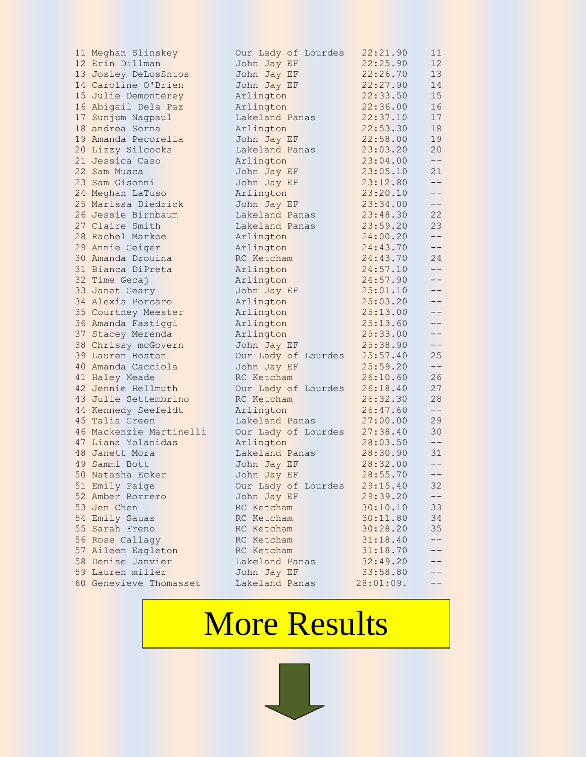| 11 Meghan Slinskey      | Our Lady of Lourdes | 22:21.90  | 11    |
|-------------------------|---------------------|-----------|-------|
| 12 Erin Dillman         | John Jay EF         | 22:25.90  | 12    |
| 13 Josley DeLosSntos    | John Jay EF         | 22:26.70  | 13    |
| 14 Caroline O'Brien     | John Jay EF         | 22:27.90  | 14    |
| 15 Julie Demonterey     | Arlington           | 22:33.50  | 15    |
| 16 Abigail Dela Paz     | Arlington           | 22:36.00  | 16    |
| 17 Sunjum Nagpaul       | Lakeland Panas      | 22:37.10  | 17    |
| 18 andrea Sorna         | Arlington           | 22:53.30  | 18    |
| 19 Amanda Pecorella     | John Jay EF         | 22:58.00  | 19    |
| 20 Lizzy Silcocks       | Lakeland Panas      | 23:03.20  | 20    |
| 21 Jessica Caso         | Arlington           | 23:04.00  | $--$  |
| 22 Sam Musca            | John Jay EF         | 23:05.10  | 21    |
| 23 Sam Gisonni          | John Jay EF         | 23:12.80  | $- -$ |
| 24 Meghan LaTuso        | Arlington           | 23:20.10  | $- -$ |
| 25 Marissa Diedrick     | John Jay EF         | 23:34.00  | $- -$ |
| 26 Jessie Birnbaum      | Lakeland Panas      | 23:48.30  | 22    |
| 27 Claire Smith         | Lakeland Panas      | 23:59.20  | 23    |
| 28 Rachel Markoe        | Arlington           | 24:00.20  | $- -$ |
| 29 Annie Geiger         | Arlington           | 24:43.70  | $ -$  |
| 30 Amanda Drouina       | RC Ketcham          | 24:43.70  | 24    |
| 31 Bianca DiPreta       | Arlington           | 24:57.10  | $ -$  |
| 32 Time Gecaj           | Arlington           | 24:57.90  | --    |
| 33 Janet Geary          | John Jay EF         | 25:01.10  | --    |
| 34 Alexis Porcaro       | Arlington           | 25:03.20  | --    |
| 35 Courtney Meester     | Arlington           | 25:13.00  | $ -$  |
| 36 Amanda Fastiggi      | Arlington           | 25:13.60  | $ -$  |
| 37 Stacey Merenda       | Arlington           | 25:33.00  | --    |
| 38 Chrissy mcGovern     | John Jay EF         | 25:38.90  | $- -$ |
| 39 Lauren Boston        | Our Lady of Lourdes | 25:57.40  | 25    |
| 40 Amanda Cacciola      | John Jay EF         | 25:59.20  | $ -$  |
| 41 Haley Meade          | RC Ketcham          | 26:10.60  | 26    |
| 42 Jennie Hellmuth      | Our Lady of Lourdes | 26:18.40  | 27    |
| 43 Julie Settembrino    | RC Ketcham          | 26:32.30  | 28    |
| 44 Kennedy Seefeldt     | Arlington           | 26:47.60  | $ -$  |
| 45 Talia Green          | Lakeland Panas      | 27:00.00  | 29    |
| 46 Mackenzie Martinelli | Our Lady of Lourdes | 27:38.40  | 30    |
| 47 Liana Yolanidas      | Arlington           | 28:03.50  | $- -$ |
| 48 Janett Mora          | Lakeland Panas      | 28:30.90  | 31    |
| 49 Sammi Bott           | John Jay EF         | 28:32.00  | $- -$ |
| 50 Natasha Ecker        | John Jay EF         | 28:55.70  | --    |
| 51 Emily Paige          | Our Lady of Lourdes | 29:15.40  | 32    |
| 52 Amber Borrero        | John Jay EF         | 29:39.20  | --    |
| 53 Jen Chen             | RC Ketcham          | 30:10.10  | 33    |
| 54 Emily Sauas          | RC Ketcham          | 30:11.80  | 34    |
| 55 Sarah Freno          | RC Ketcham          | 30:28.20  | 35    |
| 56 Rose Callagy         | RC Ketcham          | 31:18.40  | $ -$  |
| 57 Aileen Eagleton      | RC Ketcham          | 31:18.70  | --    |
| 58 Denise Janvier       | Lakeland Panas      | 32:49.20  |       |
| 59 Lauren miller        | John Jay EF         | 33:58.80  |       |
| 60 Genevieve Thomasset  | Lakeland Panas      | 28:01:09. |       |

# More Results